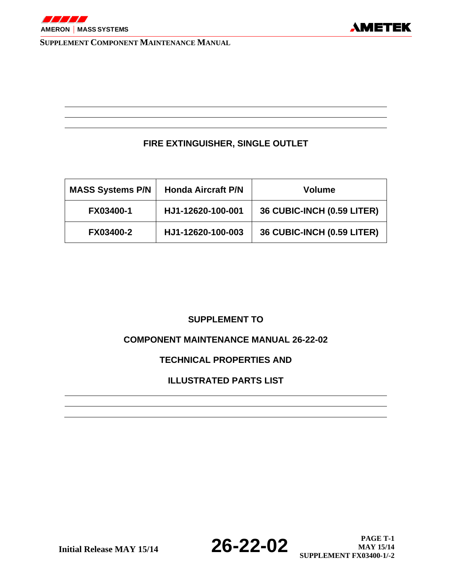

### **FIRE EXTINGUISHER, SINGLE OUTLET**

| <b>MASS Systems P/N</b> | <b>Honda Aircraft P/N</b> | <b>Volume</b>              |
|-------------------------|---------------------------|----------------------------|
| <b>FX03400-1</b>        | HJ1-12620-100-001         | 36 CUBIC-INCH (0.59 LITER) |
| <b>FX03400-2</b>        | HJ1-12620-100-003         | 36 CUBIC-INCH (0.59 LITER) |

### **SUPPLEMENT TO**

### **COMPONENT MAINTENANCE MANUAL 26-22-02**

### **TECHNICAL PROPERTIES AND**

### **ILLUSTRATED PARTS LIST**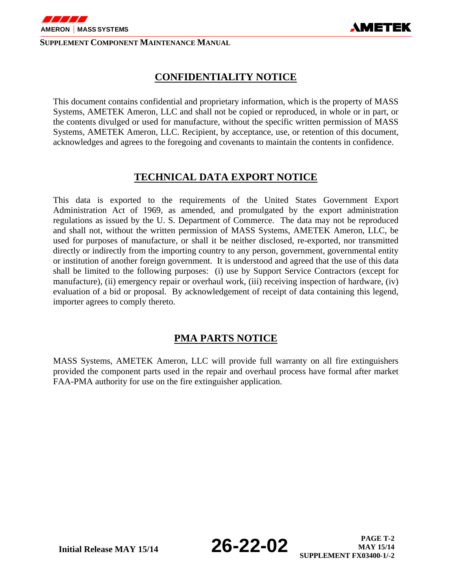

### **CONFIDENTIALITY NOTICE**

AMETEK

This document contains confidential and proprietary information, which is the property of MASS Systems, AMETEK Ameron, LLC and shall not be copied or reproduced, in whole or in part, or the contents divulged or used for manufacture, without the specific written permission of MASS Systems, AMETEK Ameron, LLC. Recipient, by acceptance, use, or retention of this document, acknowledges and agrees to the foregoing and covenants to maintain the contents in confidence.

## **TECHNICAL DATA EXPORT NOTICE**

This data is exported to the requirements of the United States Government Export Administration Act of 1969, as amended, and promulgated by the export administration regulations as issued by the U. S. Department of Commerce. The data may not be reproduced and shall not, without the written permission of MASS Systems, AMETEK Ameron, LLC, be used for purposes of manufacture, or shall it be neither disclosed, re-exported, nor transmitted directly or indirectly from the importing country to any person, government, governmental entity or institution of another foreign government. It is understood and agreed that the use of this data shall be limited to the following purposes: (i) use by Support Service Contractors (except for manufacture), (ii) emergency repair or overhaul work, (iii) receiving inspection of hardware, (iv) evaluation of a bid or proposal. By acknowledgement of receipt of data containing this legend, importer agrees to comply thereto.

### **PMA PARTS NOTICE**

MASS Systems, AMETEK Ameron, LLC will provide full warranty on all fire extinguishers provided the component parts used in the repair and overhaul process have formal after market FAA-PMA authority for use on the fire extinguisher application.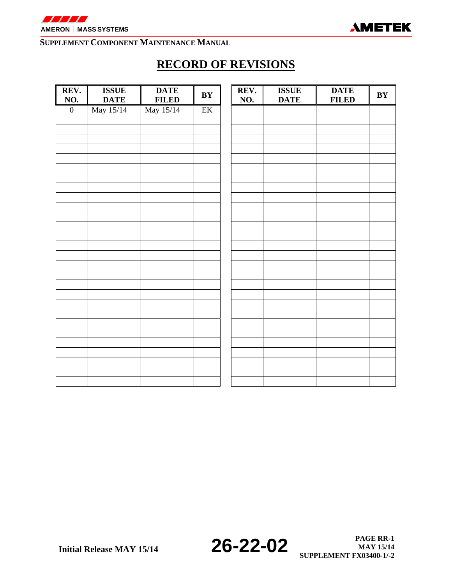

# **RECORD OF REVISIONS**

| REV.<br>NO.      | <b>ISSUE</b><br><b>DATE</b> | <b>DATE</b><br><b>FILED</b> | BY                     | REV.<br>NO. | <b>ISSUE</b><br><b>DATE</b> | <b>DATE</b><br><b>FILED</b> | $\mathbf{B}\mathbf{Y}$ |
|------------------|-----------------------------|-----------------------------|------------------------|-------------|-----------------------------|-----------------------------|------------------------|
| $\boldsymbol{0}$ | May 15/14                   | May 15/14                   | $\overline{\text{EK}}$ |             |                             |                             |                        |
|                  |                             |                             |                        |             |                             |                             |                        |
|                  |                             |                             |                        |             |                             |                             |                        |
|                  |                             |                             |                        |             |                             |                             |                        |
|                  |                             |                             |                        |             |                             |                             |                        |
|                  |                             |                             |                        |             |                             |                             |                        |
|                  |                             |                             |                        |             |                             |                             |                        |
|                  |                             |                             |                        |             |                             |                             |                        |
|                  |                             |                             |                        |             |                             |                             |                        |
|                  |                             |                             |                        |             |                             |                             |                        |
|                  |                             |                             |                        |             |                             |                             |                        |
|                  |                             |                             |                        |             |                             |                             |                        |
|                  |                             |                             |                        |             |                             |                             |                        |
|                  |                             |                             |                        |             |                             |                             |                        |
|                  |                             |                             |                        |             |                             |                             |                        |
|                  |                             |                             |                        |             |                             |                             |                        |
|                  |                             |                             |                        |             |                             |                             |                        |
|                  |                             |                             |                        |             |                             |                             |                        |
|                  |                             |                             |                        |             |                             |                             |                        |
|                  |                             |                             |                        |             |                             |                             |                        |
|                  |                             |                             |                        |             |                             |                             |                        |
|                  |                             |                             |                        |             |                             |                             |                        |
|                  |                             |                             |                        |             |                             |                             |                        |
|                  |                             |                             |                        |             |                             |                             |                        |
|                  |                             |                             |                        |             |                             |                             |                        |
|                  |                             |                             |                        |             |                             |                             |                        |
|                  |                             |                             |                        |             |                             |                             |                        |
|                  |                             |                             |                        |             |                             |                             |                        |
|                  |                             |                             |                        |             |                             |                             |                        |

**Initial Release MAY 15/14 26-22-02 PAGE RR-1 PAGE RR-1 SUPPLEMENT FX03400-1/-2** 

**MAY 15/14**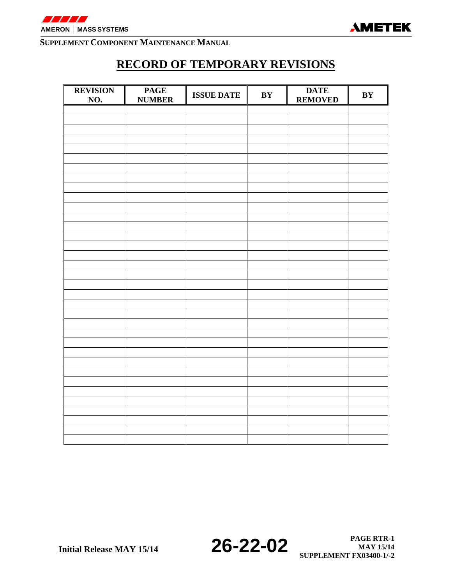

# **RECORD OF TEMPORARY REVISIONS**

| <b>REVISION</b><br>$\underline{\mathrm{NO}}$ . | <b>PAGE</b><br><b>NUMBER</b> | <b>ISSUE DATE</b> | BY | <b>DATE</b><br><b>REMOVED</b> | BY |
|------------------------------------------------|------------------------------|-------------------|----|-------------------------------|----|
|                                                |                              |                   |    |                               |    |
|                                                |                              |                   |    |                               |    |
|                                                |                              |                   |    |                               |    |
|                                                |                              |                   |    |                               |    |
|                                                |                              |                   |    |                               |    |
|                                                |                              |                   |    |                               |    |
|                                                |                              |                   |    |                               |    |
|                                                |                              |                   |    |                               |    |
|                                                |                              |                   |    |                               |    |
|                                                |                              |                   |    |                               |    |
|                                                |                              |                   |    |                               |    |
|                                                |                              |                   |    |                               |    |
|                                                |                              |                   |    |                               |    |
|                                                |                              |                   |    |                               |    |
|                                                |                              |                   |    |                               |    |
|                                                |                              |                   |    |                               |    |
|                                                |                              |                   |    |                               |    |
|                                                |                              |                   |    |                               |    |
|                                                |                              |                   |    |                               |    |
|                                                |                              |                   |    |                               |    |
|                                                |                              |                   |    |                               |    |
|                                                |                              |                   |    |                               |    |
|                                                |                              |                   |    |                               |    |
|                                                |                              |                   |    |                               |    |
|                                                |                              |                   |    |                               |    |
|                                                |                              |                   |    |                               |    |
|                                                |                              |                   |    |                               |    |
|                                                |                              |                   |    |                               |    |
|                                                |                              |                   |    |                               |    |
|                                                |                              |                   |    |                               |    |
|                                                |                              |                   |    |                               |    |
|                                                |                              |                   |    |                               |    |
|                                                |                              |                   |    |                               |    |
|                                                |                              |                   |    |                               |    |
|                                                |                              |                   |    |                               |    |
|                                                |                              |                   |    |                               |    |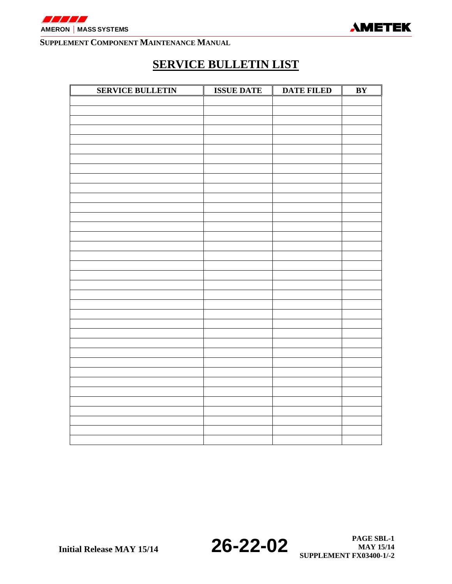



# **SERVICE BULLETIN LIST**

| <b>SERVICE BULLETIN</b> | <b>ISSUE DATE</b> | <b>DATE FILED</b> | $\overline{BY}$ |
|-------------------------|-------------------|-------------------|-----------------|
|                         |                   |                   |                 |
|                         |                   |                   |                 |
|                         |                   |                   |                 |
|                         |                   |                   |                 |
|                         |                   |                   |                 |
|                         |                   |                   |                 |
|                         |                   |                   |                 |
|                         |                   |                   |                 |
|                         |                   |                   |                 |
|                         |                   |                   |                 |
|                         |                   |                   |                 |
|                         |                   |                   |                 |
|                         |                   |                   |                 |
|                         |                   |                   |                 |
|                         |                   |                   |                 |
|                         |                   |                   |                 |
|                         |                   |                   |                 |
|                         |                   |                   |                 |
|                         |                   |                   |                 |
|                         |                   |                   |                 |
|                         |                   |                   |                 |
|                         |                   |                   |                 |
|                         |                   |                   |                 |
|                         |                   |                   |                 |
|                         |                   |                   |                 |
|                         |                   |                   |                 |
|                         |                   |                   |                 |
|                         |                   |                   |                 |
|                         |                   |                   |                 |
|                         |                   |                   |                 |
|                         |                   |                   |                 |
|                         |                   |                   |                 |
|                         |                   |                   |                 |
|                         |                   |                   |                 |
|                         |                   |                   |                 |
|                         |                   |                   |                 |
|                         |                   |                   |                 |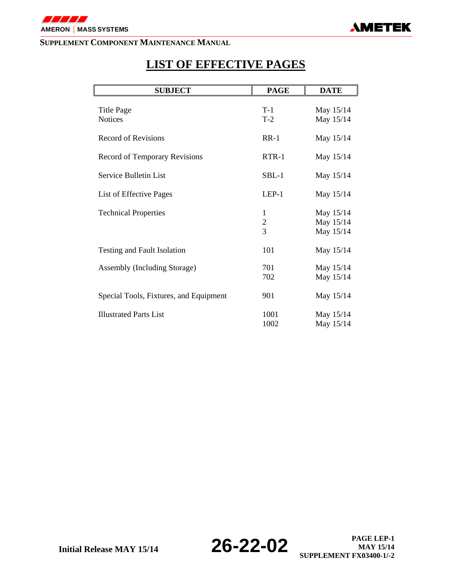

# **LIST OF EFFECTIVE PAGES**

| <b>SUBJECT</b>                         | <b>PAGE</b>        | <b>DATE</b>                         |
|----------------------------------------|--------------------|-------------------------------------|
| Title Page<br><b>Notices</b>           | $T-1$<br>$T-2$     | May 15/14<br>May 15/14              |
| <b>Record of Revisions</b>             | $RR-1$             | May 15/14                           |
| Record of Temporary Revisions          | $RTR-1$            | May 15/14                           |
| Service Bulletin List                  | $SBL-1$            | May 15/14                           |
| List of Effective Pages                | $LEP-1$            | May 15/14                           |
| <b>Technical Properties</b>            | 1<br>$\frac{2}{3}$ | May 15/14<br>May 15/14<br>May 15/14 |
| Testing and Fault Isolation            | 101                | May 15/14                           |
| Assembly (Including Storage)           | 701<br>702         | May 15/14<br>May 15/14              |
| Special Tools, Fixtures, and Equipment | 901                | May 15/14                           |
| <b>Illustrated Parts List</b>          | 1001<br>1002       | May 15/14<br>May 15/14              |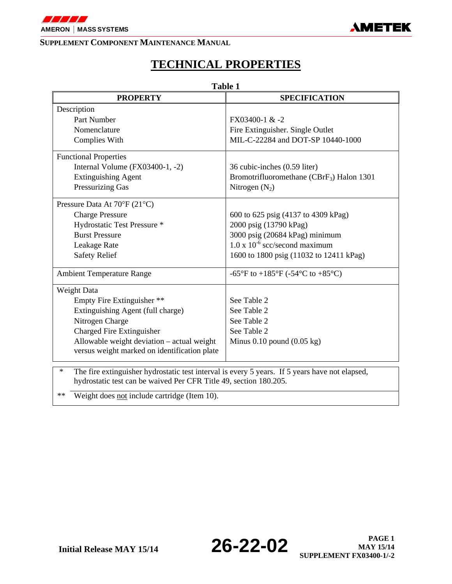

# **TECHNICAL PROPERTIES**

| <b>Table 1</b>                                                                                           |                                               |  |  |  |  |
|----------------------------------------------------------------------------------------------------------|-----------------------------------------------|--|--|--|--|
| <b>PROPERTY</b>                                                                                          | <b>SPECIFICATION</b>                          |  |  |  |  |
| Description                                                                                              |                                               |  |  |  |  |
| Part Number                                                                                              | FX03400-1 & -2                                |  |  |  |  |
| Nomenclature                                                                                             | Fire Extinguisher. Single Outlet              |  |  |  |  |
| Complies With                                                                                            | MIL-C-22284 and DOT-SP 10440-1000             |  |  |  |  |
| <b>Functional Properties</b>                                                                             |                                               |  |  |  |  |
| Internal Volume $(FX03400-1, -2)$                                                                        | 36 cubic-inches (0.59 liter)                  |  |  |  |  |
| <b>Extinguishing Agent</b>                                                                               | Bromotrifluoromethane ( $CBrF_3$ ) Halon 1301 |  |  |  |  |
| Pressurizing Gas                                                                                         | Nitrogen $(N_2)$                              |  |  |  |  |
| Pressure Data At 70°F (21°C)                                                                             |                                               |  |  |  |  |
| <b>Charge Pressure</b>                                                                                   | 600 to 625 psig (4137 to 4309 kPag)           |  |  |  |  |
| Hydrostatic Test Pressure *                                                                              | 2000 psig (13790 kPag)                        |  |  |  |  |
| <b>Burst Pressure</b>                                                                                    | 3000 psig (20684 kPag) minimum                |  |  |  |  |
| Leakage Rate                                                                                             | $1.0 \times 10^{-6}$ scc/second maximum       |  |  |  |  |
| <b>Safety Relief</b>                                                                                     | 1600 to 1800 psig (11032 to 12411 kPag)       |  |  |  |  |
| <b>Ambient Temperature Range</b>                                                                         | -65°F to +185°F (-54°C to +85°C)              |  |  |  |  |
| Weight Data                                                                                              |                                               |  |  |  |  |
| Empty Fire Extinguisher **                                                                               | See Table 2                                   |  |  |  |  |
| Extinguishing Agent (full charge)                                                                        | See Table 2                                   |  |  |  |  |
| Nitrogen Charge                                                                                          | See Table 2                                   |  |  |  |  |
| Charged Fire Extinguisher                                                                                | See Table 2                                   |  |  |  |  |
| Allowable weight deviation - actual weight                                                               | Minus $0.10$ pound $(0.05 \text{ kg})$        |  |  |  |  |
| versus weight marked on identification plate                                                             |                                               |  |  |  |  |
| The fire extinguisher hydrostatic test interval is every 5 years. If 5 years have not elapsed,<br>$\ast$ |                                               |  |  |  |  |
| hydrostatic test can be waived Per CFR Title 49, section 180.205.                                        |                                               |  |  |  |  |

\*\* Weight does not include cartridge (Item 10).

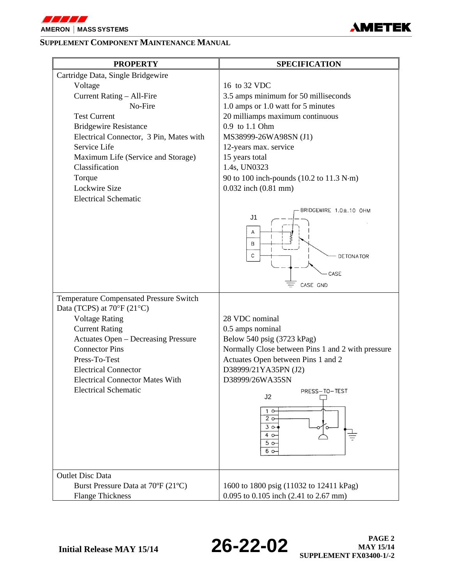

# **AMETEK**

#### **SUPPLEMENT COMPONENT MAINTENANCE MANUAL**

| <b>PROPERTY</b>                                                                                                                                                                                                                                                                                                          | <b>SPECIFICATION</b>                                                                                                                                                                                                                                                                                                                                                                           |
|--------------------------------------------------------------------------------------------------------------------------------------------------------------------------------------------------------------------------------------------------------------------------------------------------------------------------|------------------------------------------------------------------------------------------------------------------------------------------------------------------------------------------------------------------------------------------------------------------------------------------------------------------------------------------------------------------------------------------------|
| Cartridge Data, Single Bridgewire<br>Voltage<br>Current Rating - All-Fire<br>No-Fire<br><b>Test Current</b><br><b>Bridgewire Resistance</b><br>Electrical Connector, 3 Pin, Mates with<br>Service Life<br>Maximum Life (Service and Storage)<br>Classification<br>Torque<br>Lockwire Size<br><b>Electrical Schematic</b> | 16 to 32 VDC<br>3.5 amps minimum for 50 milliseconds<br>1.0 amps or 1.0 watt for 5 minutes<br>20 milliamps maximum continuous<br>0.9 to 1.1 Ohm<br>MS38999-26WA98SN (J1)<br>12-years max. service<br>15 years total<br>1.4s, UN0323<br>90 to 100 inch-pounds (10.2 to 11.3 N·m)<br>0.032 inch (0.81 mm)<br>BRIDGEWIRE 1.0±.10 OHM<br>J1<br>Α<br>B<br>С<br><b>DETONATOR</b><br>CASE<br>CASE GND |
| Temperature Compensated Pressure Switch<br>Data (TCPS) at 70°F (21°C)<br><b>Voltage Rating</b><br><b>Current Rating</b><br><b>Actuates Open - Decreasing Pressure</b><br><b>Connector Pins</b><br>Press-To-Test<br><b>Electrical Connector</b><br><b>Electrical Connector Mates With</b><br><b>Electrical Schematic</b>  | 28 VDC nominal<br>0.5 amps nominal<br>Below 540 psig (3723 kPag)<br>Normally Close between Pins 1 and 2 with pressure<br>Actuates Open between Pins 1 and 2<br>D38999/21YA35PN (J2)<br>D38999/26WA35SN<br>PRESS-TO-TEST<br>J <sub>2</sub><br>$1^\circ$<br>2 <sub>o</sub><br>3 <sub>o</sub><br>4 o<br>5 <sub>o</sub><br>$6^\circ$                                                               |
| <b>Outlet Disc Data</b><br>Burst Pressure Data at 70°F (21°C)<br><b>Flange Thickness</b>                                                                                                                                                                                                                                 | 1600 to 1800 psig (11032 to 12411 kPag)<br>0.095 to 0.105 inch (2.41 to 2.67 mm)                                                                                                                                                                                                                                                                                                               |

**Initial Release MAY 15/14 26-22-02 PAGE 2 MAY 15/14 SUPPLEMENT FX03400-1/-2**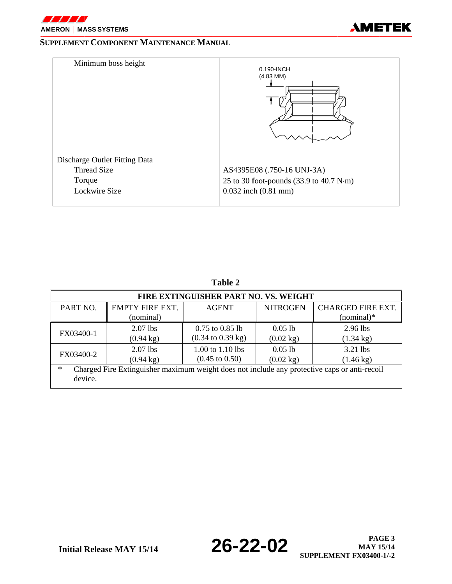



| Minimum boss height                                                            | 0.190-INCH<br>$(4.83$ MM)                                                                                                       |
|--------------------------------------------------------------------------------|---------------------------------------------------------------------------------------------------------------------------------|
| Discharge Outlet Fitting Data<br><b>Thread Size</b><br>Torque<br>Lockwire Size | AS4395E08 (.750-16 UNJ-3A)<br>25 to 30 foot-pounds $(33.9 \text{ to } 40.7 \text{ N}\cdot\text{m})$<br>$0.032$ inch $(0.81$ mm) |

| FIRE EXTINGUISHER PART NO. VS. WEIGHT |                                                                                              |                                      |                     |                          |  |  |  |
|---------------------------------------|----------------------------------------------------------------------------------------------|--------------------------------------|---------------------|--------------------------|--|--|--|
| PART NO.                              | <b>EMPTY FIRE EXT.</b>                                                                       | <b>AGENT</b>                         | <b>NITROGEN</b>     | <b>CHARGED FIRE EXT.</b> |  |  |  |
|                                       | (nominal)                                                                                    |                                      |                     | $(nominal)*$             |  |  |  |
|                                       | $2.07$ lbs                                                                                   | $0.75$ to $0.85$ lb                  | 0.051b              | $2.96$ lbs               |  |  |  |
| FX03400-1                             | $(0.94 \text{ kg})$                                                                          | $(0.34 \text{ to } 0.39 \text{ kg})$ | $(0.02 \text{ kg})$ | $(1.34 \text{ kg})$      |  |  |  |
| FX03400-2                             | $2.07$ lbs                                                                                   | 1.00 to 1.10 lbs                     | $0.05$ lb           | $3.21$ lbs               |  |  |  |
|                                       | $(0.94 \text{ kg})$                                                                          | $(0.45 \text{ to } 0.50)$            | $(0.02 \text{ kg})$ | $(1.46 \text{ kg})$      |  |  |  |
| $\ast$<br>device.                     | Charged Fire Extinguisher maximum weight does not include any protective caps or anti-recoil |                                      |                     |                          |  |  |  |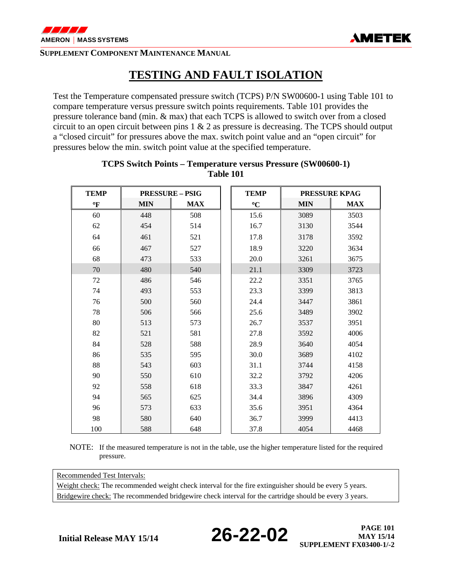

## **TESTING AND FAULT ISOLATION**

Test the Temperature compensated pressure switch (TCPS) P/N SW00600-1 using Table 101 to compare temperature versus pressure switch points requirements. Table 101 provides the pressure tolerance band (min. & max) that each TCPS is allowed to switch over from a closed circuit to an open circuit between pins 1 & 2 as pressure is decreasing. The TCPS should output a "closed circuit" for pressures above the max. switch point value and an "open circuit" for pressures below the min. switch point value at the specified temperature.

| <b>TEMP</b>  | <b>PRESSURE - PSIG</b> |            | <b>TEMP</b>     |            | <b>PRESSURE KPAG</b> |
|--------------|------------------------|------------|-----------------|------------|----------------------|
| $\mathbf{P}$ | <b>MIN</b>             | <b>MAX</b> | $\rm ^{\circ}C$ | <b>MIN</b> | <b>MAX</b>           |
| 60           | 448                    | 508        | 15.6            | 3089       | 3503                 |
| 62           | 454                    | 514        | 16.7            | 3130       | 3544                 |
| 64           | 461                    | 521        | 17.8            | 3178       | 3592                 |
| 66           | 467                    | 527        | 18.9            | 3220       | 3634                 |
| 68           | 473                    | 533        | 20.0            | 3261       | 3675                 |
| 70           | 480                    | 540        | 21.1            | 3309       | 3723                 |
| 72           | 486                    | 546        | 22.2            | 3351       | 3765                 |
| 74           | 493                    | 553        | 23.3            | 3399       | 3813                 |
| 76           | 500                    | 560        | 24.4            | 3447       | 3861                 |
| 78           | 506                    | 566        | 25.6            | 3489       | 3902                 |
| 80           | 513                    | 573        | 26.7            | 3537       | 3951                 |
| 82           | 521                    | 581        | 27.8            | 3592       | 4006                 |
| 84           | 528                    | 588        | 28.9            | 3640       | 4054                 |
| 86           | 535                    | 595        | 30.0            | 3689       | 4102                 |
| 88           | 543                    | 603        | 31.1            | 3744       | 4158                 |
| 90           | 550                    | 610        | 32.2            | 3792       | 4206                 |
| 92           | 558                    | 618        | 33.3            | 3847       | 4261                 |
| 94           | 565                    | 625        | 34.4            | 3896       | 4309                 |
| 96           | 573                    | 633        | 35.6            | 3951       | 4364                 |
| 98           | 580                    | 640        | 36.7            | 3999       | 4413                 |
| 100          | 588                    | 648        | 37.8            | 4054       | 4468                 |

#### **TCPS Switch Points – Temperature versus Pressure (SW00600-1) Table 101**

NOTE: If the measured temperature is not in the table, use the higher temperature listed for the required pressure.

Recommended Test Intervals:

Weight check: The recommended weight check interval for the fire extinguisher should be every 5 years. Bridgewire check: The recommended bridgewire check interval for the cartridge should be every 3 years.

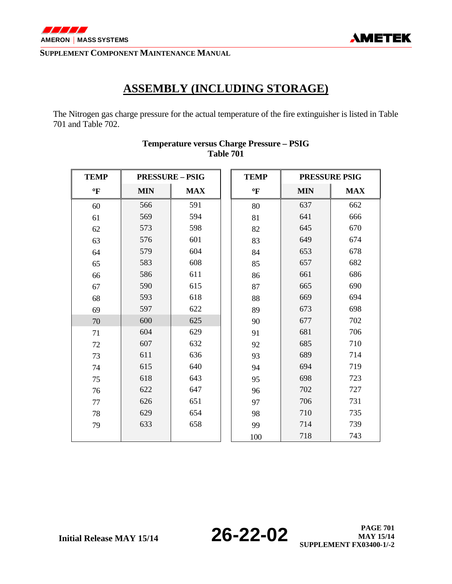

## **ASSEMBLY (INCLUDING STORAGE)**

The Nitrogen gas charge pressure for the actual temperature of the fire extinguisher is listed in Table 701 and Table 702.

| <b>TEMP</b>  | <b>PRESSURE - PSIG</b> |            | <b>TEMP</b>  |            | PRESSURE PSIG |
|--------------|------------------------|------------|--------------|------------|---------------|
| $\mathbf{F}$ | <b>MIN</b>             | <b>MAX</b> | $\mathbf{P}$ | <b>MIN</b> | <b>MAX</b>    |
| 60           | 566                    | 591        | 80           | 637        | 662           |
| 61           | 569                    | 594        | 81           | 641        | 666           |
| 62           | 573                    | 598        | 82           | 645        | 670           |
| 63           | 576                    | 601        | 83           | 649        | 674           |
| 64           | 579                    | 604        | 84           | 653        | 678           |
| 65           | 583                    | 608        | 85           | 657        | 682           |
| 66           | 586                    | 611        | 86           | 661        | 686           |
| 67           | 590                    | 615        | 87           | 665        | 690           |
| 68           | 593                    | 618        | 88           | 669        | 694           |
| 69           | 597                    | 622        | 89           | 673        | 698           |
| 70           | 600                    | 625        | 90           | 677        | 702           |
| 71           | 604                    | 629        | 91           | 681        | 706           |
| 72           | 607                    | 632        | 92           | 685        | 710           |
| 73           | 611                    | 636        | 93           | 689        | 714           |
| 74           | 615                    | 640        | 94           | 694        | 719           |
| 75           | 618                    | 643        | 95           | 698        | 723           |
| 76           | 622                    | 647        | 96           | 702        | 727           |
| 77           | 626                    | 651        | 97           | 706        | 731           |
| 78           | 629                    | 654        | 98           | 710        | 735           |
| 79           | 633                    | 658        | 99           | 714        | 739           |
|              |                        |            | 100          | 718        | 743           |

### **Temperature versus Charge Pressure – PSIG Table 701**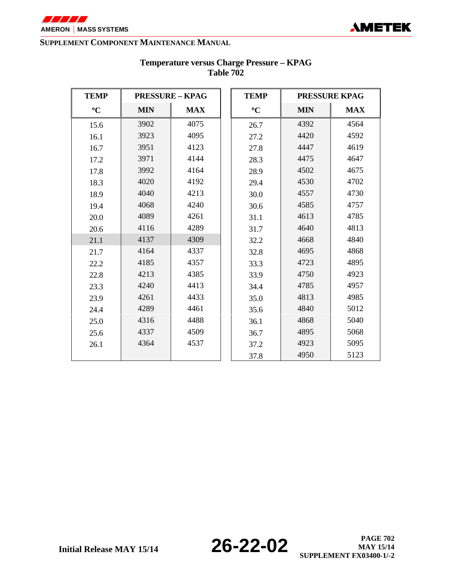

| <b>TEMP</b>     | <b>PRESSURE - KPAG</b> |            | <b>TEMP</b>     | <b>PRESSURE KPAG</b> |            |  |
|-----------------|------------------------|------------|-----------------|----------------------|------------|--|
| $\rm ^{\circ}C$ | <b>MIN</b>             | <b>MAX</b> | $\rm ^{\circ}C$ | <b>MIN</b>           | <b>MAX</b> |  |
| 15.6            | 3902                   | 4075       | 26.7            | 4392                 | 4564       |  |
| 16.1            | 3923                   | 4095       | 27.2            | 4420                 | 4592       |  |
| 16.7            | 3951                   | 4123       | 27.8            | 4447                 | 4619       |  |
| 17.2            | 3971                   | 4144       | 28.3            | 4475                 | 4647       |  |
| 17.8            | 3992                   | 4164       | 28.9            | 4502                 | 4675       |  |
| 18.3            | 4020                   | 4192       | 29.4            | 4530                 | 4702       |  |
| 18.9            | 4040                   | 4213       | 30.0            | 4557                 | 4730       |  |
| 19.4            | 4068                   | 4240       | 30.6            | 4585                 | 4757       |  |
| 20.0            | 4089                   | 4261       | 31.1            | 4613                 | 4785       |  |
| 20.6            | 4116                   | 4289       | 31.7            | 4640                 | 4813       |  |
| 21.1            | 4137                   | 4309       | 32.2            | 4668                 | 4840       |  |
| 21.7            | 4164                   | 4337       | 32.8            | 4695                 | 4868       |  |
| 22.2            | 4185                   | 4357       | 33.3            | 4723                 | 4895       |  |
| 22.8            | 4213                   | 4385       | 4750<br>33.9    |                      | 4923       |  |
| 23.3            | 4240                   | 4413       | 34.4            | 4785                 | 4957       |  |
| 23.9            | 4261                   | 4433       | 35.0            | 4813                 | 4985       |  |
| 24.4            | 4289                   | 4461       | 35.6            | 4840                 | 5012       |  |
| 25.0            | 4316                   | 4488       | 36.1            | 4868                 | 5040       |  |
| 25.6            | 4337                   | 4509       | 36.7            | 4895                 | 5068       |  |
| 26.1            | 4364                   | 4537       | 37.2            | 4923                 | 5095       |  |
|                 |                        |            | 37.8            | 4950                 | 5123       |  |

#### **Temperature versus Charge Pressure – KPAG Table 702**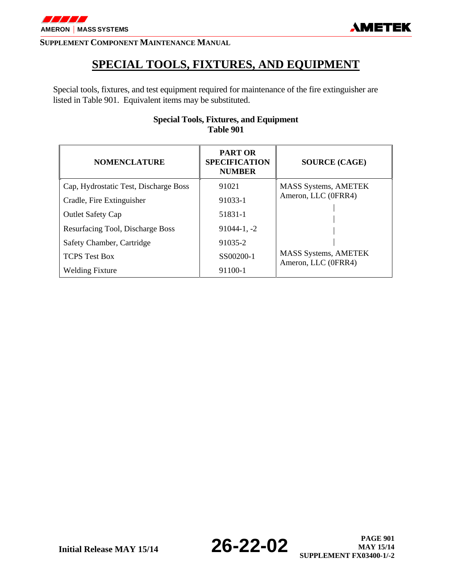

## **SPECIAL TOOLS, FIXTURES, AND EQUIPMENT**

Special tools, fixtures, and test equipment required for maintenance of the fire extinguisher are listed in Table 901. Equivalent items may be substituted.

| <b>NOMENCLATURE</b>                   | <b>PART OR</b><br><b>SPECIFICATION</b><br><b>NUMBER</b> | <b>SOURCE (CAGE)</b>                               |  |  |
|---------------------------------------|---------------------------------------------------------|----------------------------------------------------|--|--|
| Cap, Hydrostatic Test, Discharge Boss | 91021                                                   | <b>MASS Systems, AMETEK</b>                        |  |  |
| Cradle, Fire Extinguisher             | 91033-1                                                 | Ameron, LLC (0FRR4)                                |  |  |
| <b>Outlet Safety Cap</b>              | 51831-1                                                 |                                                    |  |  |
| Resurfacing Tool, Discharge Boss      | $91044 - 1, -2$                                         |                                                    |  |  |
| Safety Chamber, Cartridge             | 91035-2                                                 |                                                    |  |  |
| <b>TCPS</b> Test Box                  | SS00200-1                                               | <b>MASS Systems, AMETEK</b><br>Ameron, LLC (0FRR4) |  |  |
| <b>Welding Fixture</b>                | 91100-1                                                 |                                                    |  |  |

#### **Special Tools, Fixtures, and Equipment Table 901**

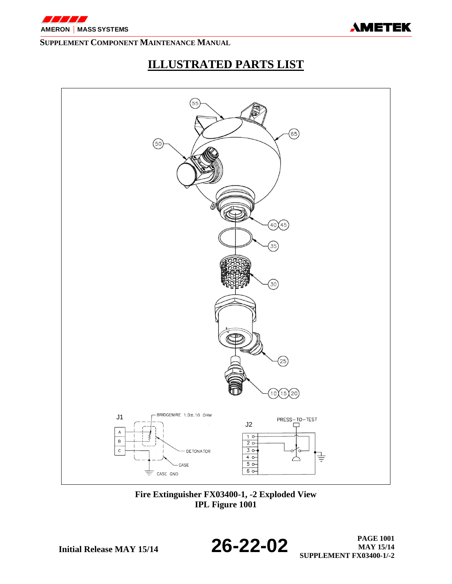

# **ILLUSTRATED PARTS LIST**



**Fire Extinguisher FX03400-1, -2 Exploded View IPL Figure 1001** 

**Initial Release MAY 15/14 26-22-02 PAGE 1001 PAGE 1001 MAY 15/14 SUPPLEMENT FX03400-1/-2**